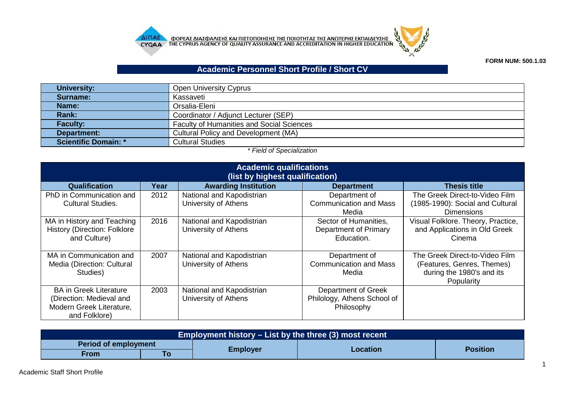



**FORM NUM: 500.1.03**

## **Academic Personnel Short Profile / Short CV**

| <b>University:</b>          | <b>Open University Cyprus</b>                    |  |  |
|-----------------------------|--------------------------------------------------|--|--|
| Surname:                    | Kassaveti                                        |  |  |
| Name:                       | Orsalia-Eleni                                    |  |  |
| Rank:                       | Coordinator / Adjunct Lecturer (SEP)             |  |  |
| <b>Faculty:</b>             | <b>Faculty of Humanities and Social Sciences</b> |  |  |
| Department:                 | Cultural Policy and Development (MA)             |  |  |
| <b>Scientific Domain: *</b> | <b>Cultural Studies</b>                          |  |  |
|                             |                                                  |  |  |

*\* Field of Specialization*

| <b>Academic qualifications</b><br>(list by highest qualification)                                      |      |                                                   |                                                                  |                                                                                                         |  |
|--------------------------------------------------------------------------------------------------------|------|---------------------------------------------------|------------------------------------------------------------------|---------------------------------------------------------------------------------------------------------|--|
| <b>Qualification</b>                                                                                   | Year | <b>Awarding Institution</b>                       | <b>Department</b>                                                | <b>Thesis title</b>                                                                                     |  |
| PhD in Communication and<br><b>Cultural Studies.</b>                                                   | 2012 | National and Kapodistrian<br>University of Athens | Department of<br><b>Communication and Mass</b><br>Media          | The Greek Direct-to-Video Film<br>(1985-1990): Social and Cultural<br><b>Dimensions</b>                 |  |
| MA in History and Teaching<br><b>History (Direction: Folklore</b><br>and Culture)                      | 2016 | National and Kapodistrian<br>University of Athens | Sector of Humanities,<br>Department of Primary<br>Education.     | Visual Folklore. Theory, Practice,<br>and Applications in Old Greek<br>Cinema                           |  |
| MA in Communication and<br>Media (Direction: Cultural<br>Studies)                                      | 2007 | National and Kapodistrian<br>University of Athens | Department of<br><b>Communication and Mass</b><br>Media          | The Greek Direct-to-Video Film<br>(Features, Genres, Themes)<br>during the 1980's and its<br>Popularity |  |
| <b>BA in Greek Literature</b><br>(Direction: Medieval and<br>Modern Greek Literature,<br>and Folklore) | 2003 | National and Kapodistrian<br>University of Athens | Department of Greek<br>Philology, Athens School of<br>Philosophy |                                                                                                         |  |

| Employment history – List by the three (3) most recent |  |                 |          |                 |
|--------------------------------------------------------|--|-----------------|----------|-----------------|
| <b>Period of employment</b>                            |  |                 |          |                 |
| From                                                   |  | <b>Employer</b> | Location | <b>Position</b> |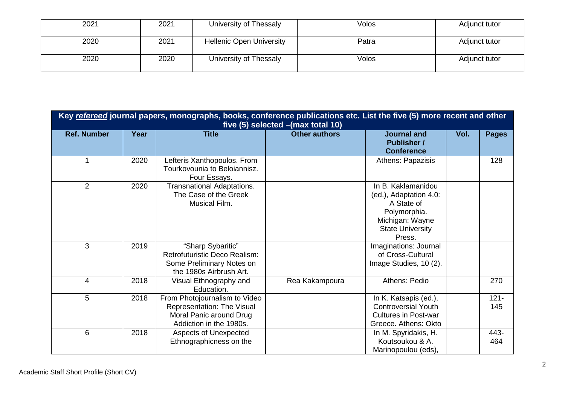| 2021 | 2021 | University of Thessaly          | Volos | Adjunct tutor |
|------|------|---------------------------------|-------|---------------|
| 2020 | 2021 | <b>Hellenic Open University</b> | Patra | Adjunct tutor |
| 2020 | 2020 | University of Thessaly          | Volos | Adjunct tutor |

| Key refereed journal papers, monographs, books, conference publications etc. List the five (5) more recent and other<br>five (5) selected - (max total 10) |      |                                                                                                                   |                      |                                                                                                                                    |      |                |
|------------------------------------------------------------------------------------------------------------------------------------------------------------|------|-------------------------------------------------------------------------------------------------------------------|----------------------|------------------------------------------------------------------------------------------------------------------------------------|------|----------------|
| <b>Ref. Number</b>                                                                                                                                         | Year | <b>Title</b>                                                                                                      | <b>Other authors</b> | <b>Journal and</b><br><b>Publisher /</b><br><b>Conference</b>                                                                      | Vol. | <b>Pages</b>   |
|                                                                                                                                                            | 2020 | Lefteris Xanthopoulos. From<br>Tourkovounia to Beloiannisz.<br>Four Essays.                                       |                      | Athens: Papazisis                                                                                                                  |      | 128            |
| 2                                                                                                                                                          | 2020 | <b>Transnational Adaptations.</b><br>The Case of the Greek<br>Musical Film.                                       |                      | In B. Kaklamanidou<br>(ed.), Adaptation 4.0:<br>A State of<br>Polymorphia.<br>Michigan: Wayne<br><b>State University</b><br>Press. |      |                |
| 3                                                                                                                                                          | 2019 | "Sharp Sybaritic"<br><b>Retrofuturistic Deco Realism:</b><br>Some Preliminary Notes on<br>the 1980s Airbrush Art. |                      | Imaginations: Journal<br>of Cross-Cultural<br>Image Studies, 10 (2).                                                               |      |                |
| 4                                                                                                                                                          | 2018 | Visual Ethnography and<br>Education.                                                                              | Rea Kakampoura       | Athens: Pedio                                                                                                                      |      | 270            |
| 5                                                                                                                                                          | 2018 | From Photojournalism to Video<br>Representation: The Visual<br>Moral Panic around Drug<br>Addiction in the 1980s. |                      | In K. Katsapis (ed.),<br><b>Controversial Youth</b><br><b>Cultures in Post-war</b><br>Greece. Athens: Okto                         |      | $121 -$<br>145 |
| 6                                                                                                                                                          | 2018 | Aspects of Unexpected<br>Ethnographicness on the                                                                  |                      | In M. Spyridakis, H.<br>Koutsoukou & A.<br>Marinopoulou (eds),                                                                     |      | 443-<br>464    |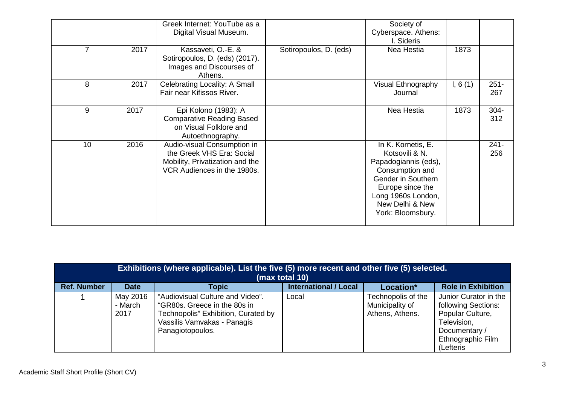|                |      | Greek Internet: YouTube as a<br>Digital Visual Museum.                                                                     |                        | Society of<br>Cyberspace. Athens:<br>I. Sideris                                                                                                                                         |         |                |
|----------------|------|----------------------------------------------------------------------------------------------------------------------------|------------------------|-----------------------------------------------------------------------------------------------------------------------------------------------------------------------------------------|---------|----------------|
| $\overline{7}$ | 2017 | Kassaveti, O.-E. &<br>Sotiropoulos, D. (eds) (2017).<br>Images and Discourses of<br>Athens.                                | Sotiropoulos, D. (eds) | Nea Hestia                                                                                                                                                                              | 1873    |                |
| 8              | 2017 | Celebrating Locality: A Small<br>Fair near Kifissos River.                                                                 |                        | Visual Ethnography<br>Journal                                                                                                                                                           | I, 6(1) | $251 -$<br>267 |
| 9              | 2017 | Epi Kolono (1983): A<br><b>Comparative Reading Based</b><br>on Visual Folklore and<br>Autoethnography.                     |                        | Nea Hestia                                                                                                                                                                              | 1873    | 304-<br>312    |
| 10             | 2016 | Audio-visual Consumption in<br>the Greek VHS Era: Social<br>Mobility, Privatization and the<br>VCR Audiences in the 1980s. |                        | In K. Kornetis, E.<br>Kotsovili & N.<br>Papadogiannis (eds),<br>Consumption and<br>Gender in Southern<br>Europe since the<br>Long 1960s London,<br>New Delhi & New<br>York: Bloomsbury. |         | $241 -$<br>256 |

|                    | Exhibitions (where applicable). List the five (5) more recent and other five (5) selected. |                                                                                                                                                            |                              |                                                          |                                                                                                                                    |
|--------------------|--------------------------------------------------------------------------------------------|------------------------------------------------------------------------------------------------------------------------------------------------------------|------------------------------|----------------------------------------------------------|------------------------------------------------------------------------------------------------------------------------------------|
|                    |                                                                                            |                                                                                                                                                            | (max total 10)               |                                                          |                                                                                                                                    |
| <b>Ref. Number</b> | <b>Date</b>                                                                                | <b>Topic</b>                                                                                                                                               | <b>International / Local</b> | Location*                                                | <b>Role in Exhibition</b>                                                                                                          |
|                    | May 2016<br>- March<br>2017                                                                | "Audiovisual Culture and Video".<br>"GR80s. Greece in the 80s in<br>Technopolis" Exhibition, Curated by<br>Vassilis Vamvakas - Panagis<br>Panagiotopoulos. | Local                        | Technopolis of the<br>Municipality of<br>Athens, Athens. | Junior Curator in the<br>following Sections:<br>Popular Culture,<br>Television,<br>Documentary /<br>Ethnographic Film<br>(Lefteris |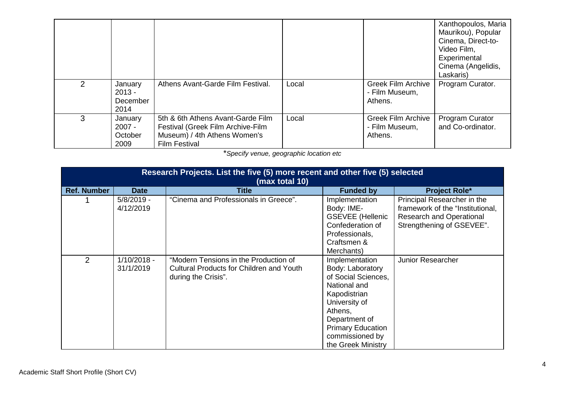|   |                                         |                                                                                                                                |       |                                                        | Xanthopoulos, Maria<br>Maurikou), Popular<br>Cinema, Direct-to-<br>Video Film,<br>Experimental<br>Cinema (Angelidis,<br>Laskaris) |
|---|-----------------------------------------|--------------------------------------------------------------------------------------------------------------------------------|-------|--------------------------------------------------------|-----------------------------------------------------------------------------------------------------------------------------------|
| 2 | January<br>$2013 -$<br>December<br>2014 | Athens Avant-Garde Film Festival.                                                                                              | Local | <b>Greek Film Archive</b><br>- Film Museum,<br>Athens. | Program Curator.                                                                                                                  |
| 3 | January<br>$2007 -$<br>October<br>2009  | 5th & 6th Athens Avant-Garde Film<br>Festival (Greek Film Archive-Film<br>Museum) / 4th Athens Women's<br><b>Film Festival</b> | Local | <b>Greek Film Archive</b><br>- Film Museum,<br>Athens. | Program Curator<br>and Co-ordinator.                                                                                              |

\**Specify venue, geographic location etc*

|                    | Research Projects. List the five (5) more recent and other five (5) selected<br>(max total 10) |                                                                                                                 |                                                                                                                                                                                                             |                                                                                                                                 |  |  |
|--------------------|------------------------------------------------------------------------------------------------|-----------------------------------------------------------------------------------------------------------------|-------------------------------------------------------------------------------------------------------------------------------------------------------------------------------------------------------------|---------------------------------------------------------------------------------------------------------------------------------|--|--|
| <b>Ref. Number</b> | <b>Date</b>                                                                                    | <b>Title</b>                                                                                                    | <b>Funded by</b>                                                                                                                                                                                            | <b>Project Role*</b>                                                                                                            |  |  |
|                    | $5/8/2019 -$<br>4/12/2019                                                                      | "Cinema and Professionals in Greece".                                                                           | Implementation<br>Body: IME-<br><b>GSEVEE</b> (Hellenic<br>Confederation of<br>Professionals,<br>Craftsmen &<br>Merchants)                                                                                  | Principal Researcher in the<br>framework of the "Institutional,<br><b>Research and Operational</b><br>Strengthening of GSEVEE". |  |  |
| $\overline{2}$     | $1/10/2018 -$<br>31/1/2019                                                                     | "Modern Tensions in the Production of<br><b>Cultural Products for Children and Youth</b><br>during the Crisis". | Implementation<br>Body: Laboratory<br>of Social Sciences,<br>National and<br>Kapodistrian<br>University of<br>Athens,<br>Department of<br><b>Primary Education</b><br>commissioned by<br>the Greek Ministry | <b>Junior Researcher</b>                                                                                                        |  |  |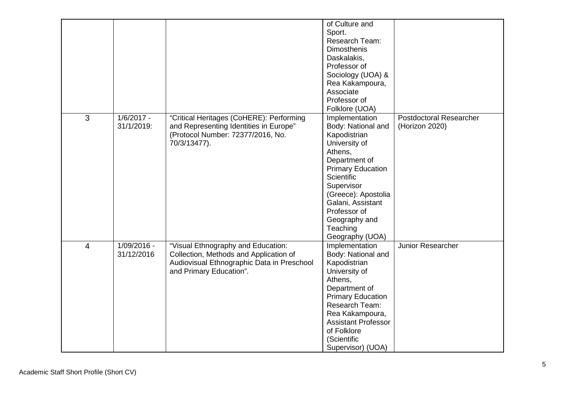|                |                            |                                                                                                                                                       | of Culture and<br>Sport.<br>Research Team:<br><b>Dimosthenis</b><br>Daskalakis,<br>Professor of<br>Sociology (UOA) &<br>Rea Kakampoura,<br>Associate<br>Professor of<br>Folklore (UOA)                                                                                |                                                  |
|----------------|----------------------------|-------------------------------------------------------------------------------------------------------------------------------------------------------|-----------------------------------------------------------------------------------------------------------------------------------------------------------------------------------------------------------------------------------------------------------------------|--------------------------------------------------|
| 3              | $1/6/2017 -$<br>31/1/2019: | "Critical Heritages (CoHERE): Performing<br>and Representing Identities in Europe"<br>(Protocol Number: 72377/2016, No.<br>70/3/13477).               | Implementation<br>Body: National and<br>Kapodistrian<br>University of<br>Athens,<br>Department of<br><b>Primary Education</b><br>Scientific<br>Supervisor<br>(Greece): Apostolia<br>Galani, Assistant<br>Professor of<br>Geography and<br>Teaching<br>Geography (UOA) | <b>Postdoctoral Researcher</b><br>(Horizon 2020) |
| $\overline{4}$ | 1/09/2016 -<br>31/12/2016  | "Visual Ethnography and Education:<br>Collection, Methods and Application of<br>Audiovisual Ethnographic Data in Preschool<br>and Primary Education". | Implementation<br>Body: National and<br>Kapodistrian<br>University of<br>Athens,<br>Department of<br><b>Primary Education</b><br>Research Team:<br>Rea Kakampoura,<br><b>Assistant Professor</b><br>of Folklore<br>(Scientific<br>Supervisor) (UOA)                   | Junior Researcher                                |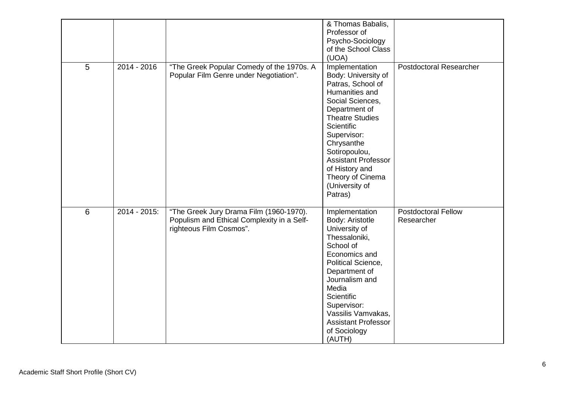|   |              |                                                                                                                  | & Thomas Babalis,<br>Professor of<br>Psycho-Sociology<br>of the School Class<br>(UOA)                                                                                                                                                                                                                    |                                          |
|---|--------------|------------------------------------------------------------------------------------------------------------------|----------------------------------------------------------------------------------------------------------------------------------------------------------------------------------------------------------------------------------------------------------------------------------------------------------|------------------------------------------|
| 5 | 2014 - 2016  | "The Greek Popular Comedy of the 1970s. A<br>Popular Film Genre under Negotiation".                              | Implementation<br>Body: University of<br>Patras, School of<br>Humanities and<br>Social Sciences,<br>Department of<br><b>Theatre Studies</b><br>Scientific<br>Supervisor:<br>Chrysanthe<br>Sotiropoulou,<br><b>Assistant Professor</b><br>of History and<br>Theory of Cinema<br>(University of<br>Patras) | <b>Postdoctoral Researcher</b>           |
| 6 | 2014 - 2015: | "The Greek Jury Drama Film (1960-1970).<br>Populism and Ethical Complexity in a Self-<br>righteous Film Cosmos". | Implementation<br>Body: Aristotle<br>University of<br>Thessaloniki,<br>School of<br>Economics and<br>Political Science,<br>Department of<br>Journalism and<br>Media<br>Scientific<br>Supervisor:<br>Vassilis Vamvakas,<br><b>Assistant Professor</b><br>of Sociology<br>(AUTH)                           | <b>Postdoctoral Fellow</b><br>Researcher |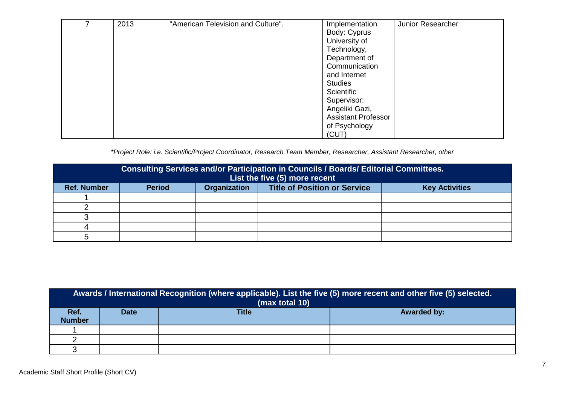| 7 | 2013 | "American Television and Culture". | Implementation             | Junior Researcher |
|---|------|------------------------------------|----------------------------|-------------------|
|   |      |                                    | Body: Cyprus               |                   |
|   |      |                                    | University of              |                   |
|   |      |                                    | Technology,                |                   |
|   |      |                                    | Department of              |                   |
|   |      |                                    | Communication              |                   |
|   |      |                                    | and Internet               |                   |
|   |      |                                    | <b>Studies</b>             |                   |
|   |      |                                    | Scientific                 |                   |
|   |      |                                    | Supervisor:                |                   |
|   |      |                                    | Angeliki Gazi,             |                   |
|   |      |                                    | <b>Assistant Professor</b> |                   |
|   |      |                                    | of Psychology              |                   |
|   |      |                                    | (CUT)                      |                   |

*\*Project Role: i.e. Scientific/Project Coordinator, Research Team Member, Researcher, Assistant Researcher, other*

| Consulting Services and/or Participation in Councils / Boards/ Editorial Committees.<br>List the five (5) more recent |               |                     |                                     |                       |  |  |
|-----------------------------------------------------------------------------------------------------------------------|---------------|---------------------|-------------------------------------|-----------------------|--|--|
| <b>Ref. Number</b>                                                                                                    | <b>Period</b> | <b>Organization</b> | <b>Title of Position or Service</b> | <b>Key Activities</b> |  |  |
|                                                                                                                       |               |                     |                                     |                       |  |  |
|                                                                                                                       |               |                     |                                     |                       |  |  |
|                                                                                                                       |               |                     |                                     |                       |  |  |
|                                                                                                                       |               |                     |                                     |                       |  |  |
|                                                                                                                       |               |                     |                                     |                       |  |  |

| Awards / International Recognition (where applicable). List the five (5) more recent and other five (5) selected.<br>(max total 10) |             |              |                    |  |  |  |
|-------------------------------------------------------------------------------------------------------------------------------------|-------------|--------------|--------------------|--|--|--|
| Ref.<br><b>Number</b>                                                                                                               | <b>Date</b> | <b>Title</b> | <b>Awarded by:</b> |  |  |  |
|                                                                                                                                     |             |              |                    |  |  |  |
|                                                                                                                                     |             |              |                    |  |  |  |
|                                                                                                                                     |             |              |                    |  |  |  |